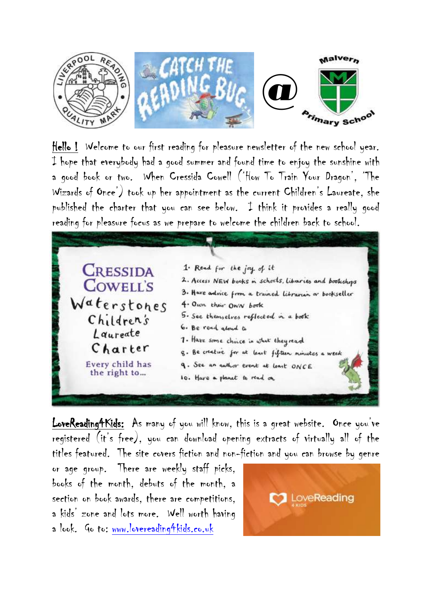

Hello ! Welcome to our first reading for pleasure newsletter of the new school year. I hope that everybody had a good summer and found time to enjoy the sunshine with a good book or two. When Cressida Cowell ('How To Train Your Dragon', 'The Wizards of Once') took up her appointment as the current Children's Laureate, she published the charter that you can see below. I think it provides a really good reading for pleasure focus as we prepare to welcome the children back to school.

**CRESSIDA COWELL'S** Waterstones Children's Laureate Charter Every child has the right to...

| 1. Read for the joy of it                               |  |
|---------------------------------------------------------|--|
| 2. Access NEW books in schools, Libraries and bookshops |  |
| 3. Have advice from a trained librarian or bookseller   |  |
| 4. Own their OWN book                                   |  |
| 5. See themselves reflected in a book                   |  |
| 6. Be read aloud to                                     |  |
| 7. Have some choice in what they read                   |  |
| g. Be creative for at least fifteen minutes a week      |  |
| q. See an author event at least ONCE                    |  |
| 10. Have a planet to read on                            |  |
|                                                         |  |

LoveReading4Kids: As many of you will know, this is a great website. Once you've registered (it's free), you can download opening extracts of virtually all of the titles featured. The site covers fiction and non-fiction and you can browse by genre

or age group. There are weekly staff picks, books of the month, debuts of the month, a section on book awards, there are competitions, a kids' zone and lots more. Well worth having a look. Go to: [www.lovereading4kids.co.uk](http://www.lovereading4kids.co.uk/)

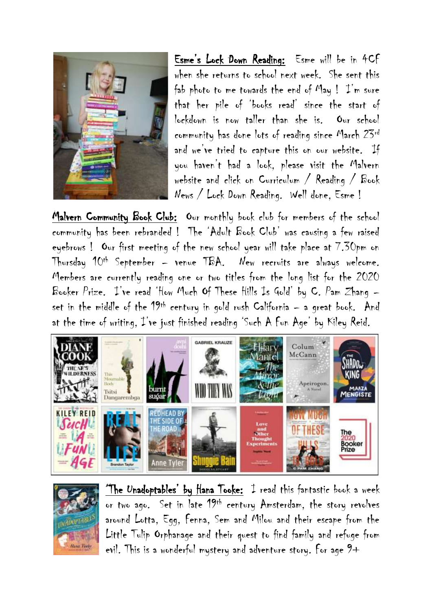

Esme's Lock Down Reading: Esme will be in 4CF when she returns to school next week. She sent this fab photo to me towards the end of May !  $\mathcal{I}'$ m sure that her pile of 'books read' since the start of lockdown is now taller than she is. Our school community has done lots of reading since March 23rd and we've tried to capture this on our website. If you haven't had a look, please visit the Malvern website and click on Curriculum / Reading / Book News / Lock Down Reading. Well done, Esme !

Malvern Community Book Club: Our monthly book club for members of the school community has been rebranded ! The 'Adult Book Club' was causing a few raised eyebrows ! Our first meeting of the new school year will take place at 7.30pm on Thursday 10th September – venue TBA. New recruits are always welcome. Members are currently reading one or two titles from the long list for the 2020 Booker Prize. I've read 'How Much Of These Hills Is Gold' by C. Pam Zhang – set in the middle of the 19th century in gold rush California – a great book. And at the time of writing, I've just finished reading 'Such A Fun Age' by Kiley Reid.





'The Unadoptables' by Hana Tooke: I read this fantastic book a week or two ago. Set in late 19th century Amsterdam, the story revolves around Lotta, Egg, Fenna, Sem and Milou and their escape from the Little Tulip Orphanage and their quest to find family and refuge from evil. This is a wonderful mystery and adventure story. For age 9+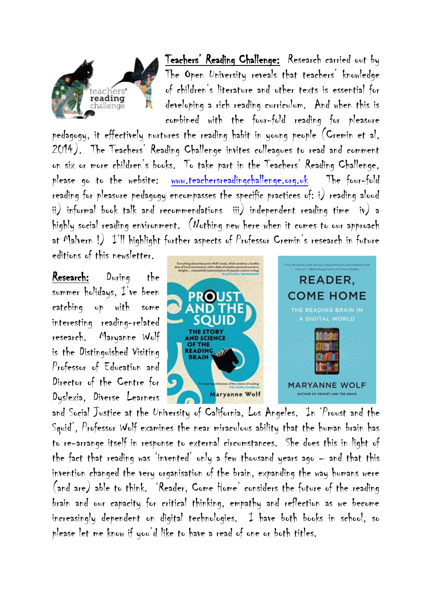

Teachers' Reading Challenge: Research carried out by The Open University reveals that teachers' knowledge of children's literature and other texts is essential for developing a rich reading curriculum. And when this is combined with the four-fold reading for pleasure

pedagogy, it effectively nurtures the reading habit in young people (Cremin et al, 2014). The Teachers' Reading Challenge invites colleagues to read and comment on six or more children's books. To take part in the Teachers' Reading Challenge, please go to the website: [www.teachersreadingchallenge.org.uk](http://www.teachersreadingchallenge.org.uk/) The four-fold reading for pleasure pedagogy encompasses the specific practices of: i) reading aloud ii) informal book talk and recommendations iii) independent reading time iv) a highly social reading environment. (Nothing new here when it comes to our approach at Malvern !) I'll highlight further aspects of Professor Cremin's research in future editions of this newsletter.

Research: During the summer holidays, I've been catching up with some interesting reading-related research. Maryanne Wolf is the Distinguished Visiting Professor of Education and Director of the Centre for Dyslexia, Diverse Learners



and Social Justice at the University of California, Los Angeles. In 'Proust and the Squid', Professor Wolf examines the near miraculous ability that the human brain has to re-arrange itself in response to external circumstances. She does this in light of the fact that reading was 'invented' only a few thousand years ago – and that this invention changed the very organisation of the brain, expanding the way humans were (and are) able to think. 'Reader, Come Home' considers the future of the reading brain and our capacity for critical thinking, empathy and reflection as we become increasingly dependent on digital technologies. I have both books in school, so please let me know if you'd like to have a read of one or both titles.